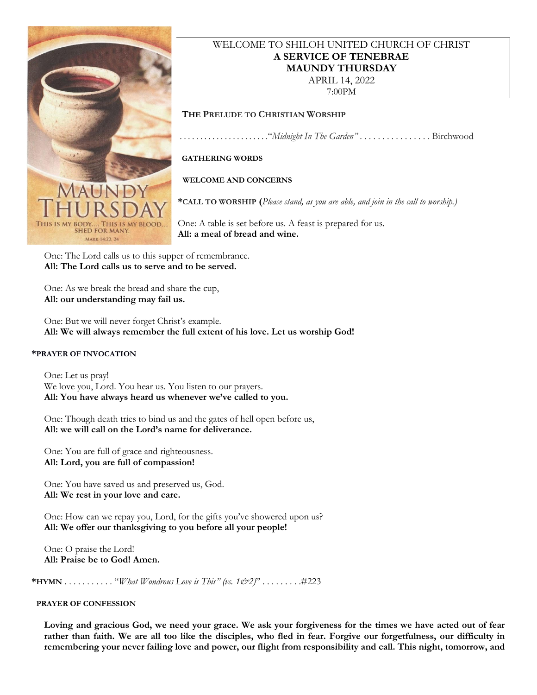

## WELCOME TO SHILOH UNITED CHURCH OF CHRIST **A SERVICE OF TENEBRAE MAUNDY THURSDAY** APRIL 14, 2022

7:00PM

### **THE PRELUDE TO CHRISTIAN WORSHIP**

. . . . . . . . . . . . . . . . . . . . . ."*Midnight In The Garden"* . . . . . . . . . . . . . . . . Birchwood

### **GATHERING WORDS**

 **WELCOME AND CONCERNS**

**\*CALL TO WORSHIP (***Please stand, as you are able, and join in the call to worship.)*

One: A table is set before us. A feast is prepared for us. **All: a meal of bread and wine.** 

One: The Lord calls us to this supper of remembrance. **All: The Lord calls us to serve and to be served.**

One: As we break the bread and share the cup, **All: our understanding may fail us.**

One: But we will never forget Christ's example. **All: We will always remember the full extent of his love. Let us worship God!**

#### **\*PRAYER OF INVOCATION**

One: Let us pray! We love you, Lord. You hear us. You listen to our prayers. **All: You have always heard us whenever we've called to you.**

One: Though death tries to bind us and the gates of hell open before us, **All: we will call on the Lord's name for deliverance.**

One: You are full of grace and righteousness. **All: Lord, you are full of compassion!**

One: You have saved us and preserved us, God. **All: We rest in your love and care.**

One: How can we repay you, Lord, for the gifts you've showered upon us? **All: We offer our thanksgiving to you before all your people!**

One: O praise the Lord! **All: Praise be to God! Amen.**

**\*HYMN** . . . . . . . . . . . "*What Wondrous Love is This" (vs. 1&2)*" . . . . . . . . .#223

#### **PRAYER OF CONFESSION**

**Loving and gracious God, we need your grace. We ask your forgiveness for the times we have acted out of fear rather than faith. We are all too like the disciples, who fled in fear. Forgive our forgetfulness, our difficulty in remembering your never failing love and power, our flight from responsibility and call. This night, tomorrow, and**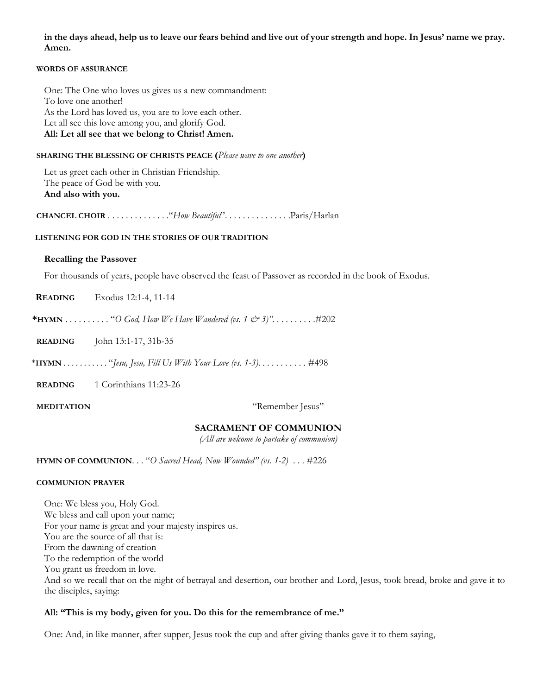**in the days ahead, help us to leave our fears behind and live out of your strength and hope. In Jesus' name we pray. Amen.**

#### **WORDS OF ASSURANCE**

One: The One who loves us gives us a new commandment: To love one another! As the Lord has loved us, you are to love each other. Let all see this love among you, and glorify God. **All: Let all see that we belong to Christ! Amen.**

### **SHARING THE BLESSING OF CHRISTS PEACE (***Please wave to one another***)**

Let us greet each other in Christian Friendship*.* The peace of God be with you. **And also with you.**

 **CHANCEL CHOIR** . . . . . . . . . . . . . ."*How Beautiful*". . . . . . . . . . . . . . .Paris/Harlan

### **LISTENING FOR GOD IN THE STORIES OF OUR TRADITION**

#### **Recalling the Passover**

For thousands of years, people have observed the feast of Passover as recorded in the book of Exodus.

 **READING** Exodus 12:1-4, 11-14

**\*HYMN** . . . . . . . . . . "*O God, How We Have Wandered (vs. 1 & 3)". . . . . . . . .* .#202

**READING** John 13:1-17, 31b-35

\***HYMN** . . . . . . . . . . . "*Jesu, Jesu, Fill Us With Your Love (vs. 1-3). . . . . . . . . . .* #498

**READING** 1 Corinthians 11:23-26

**MEDITATION** "Remember Jesus"

### **SACRAMENT OF COMMUNION**

*(All are welcome to partake of communion)*

 **HYMN OF COMMUNION**. . . "*O Sacred Head, Now Wounded" (vs. 1-2)* . . . #226

#### **COMMUNION PRAYER**

One: We bless you, Holy God. We bless and call upon your name; For your name is great and your majesty inspires us. You are the source of all that is: From the dawning of creation To the redemption of the world You grant us freedom in love. And so we recall that on the night of betrayal and desertion, our brother and Lord, Jesus, took bread, broke and gave it to the disciples, saying:

### **All: "This is my body, given for you. Do this for the remembrance of me."**

One: And, in like manner, after supper, Jesus took the cup and after giving thanks gave it to them saying,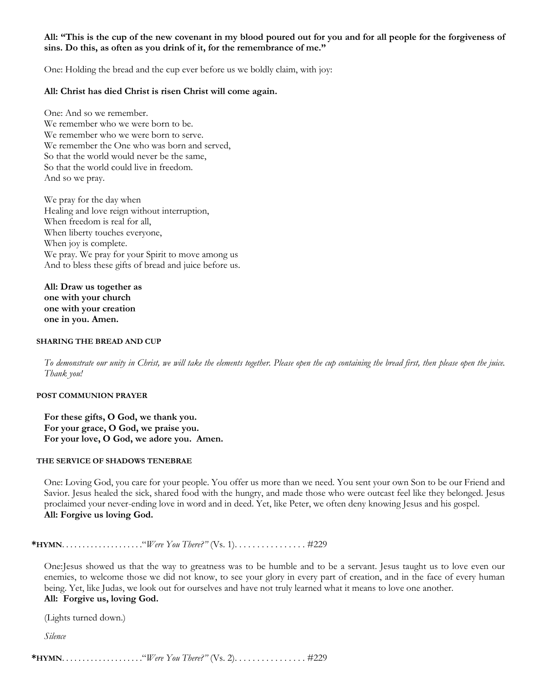### **All: "This is the cup of the new covenant in my blood poured out for you and for all people for the forgiveness of sins. Do this, as often as you drink of it, for the remembrance of me."**

One: Holding the bread and the cup ever before us we boldly claim, with joy:

### **All: Christ has died Christ is risen Christ will come again.**

One: And so we remember. We remember who we were born to be. We remember who we were born to serve. We remember the One who was born and served, So that the world would never be the same, So that the world could live in freedom. And so we pray.

We pray for the day when Healing and love reign without interruption, When freedom is real for all, When liberty touches everyone, When joy is complete. We pray. We pray for your Spirit to move among us And to bless these gifts of bread and juice before us.

**All: Draw us together as one with your church one with your creation one in you. Amen.**

#### **SHARING THE BREAD AND CUP**

*To demonstrate our unity in Christ, we will take the elements together. Please open the cup containing the bread first, then please open the juice. Thank you!*

#### **POST COMMUNION PRAYER**

**For these gifts, O God, we thank you. For your grace, O God, we praise you. For your love, O God, we adore you. Amen.**

#### **THE SERVICE OF SHADOWS TENEBRAE**

One: Loving God, you care for your people. You offer us more than we need. You sent your own Son to be our Friend and Savior. Jesus healed the sick, shared food with the hungry, and made those who were outcast feel like they belonged. Jesus proclaimed your never-ending love in word and in deed. Yet, like Peter, we often deny knowing Jesus and his gospel. **All: Forgive us loving God.**

**\*HYMN**. . . . . . . . . . . . . . . . . . . ."*Were You There?"* (Vs. 1). . . . . . . . . . . . . . . . #229

One:Jesus showed us that the way to greatness was to be humble and to be a servant. Jesus taught us to love even our enemies, to welcome those we did not know, to see your glory in every part of creation, and in the face of every human being. Yet, like Judas, we look out for ourselves and have not truly learned what it means to love one another. **All: Forgive us, loving God.**

(Lights turned down.)

*Silence*

**\*HYMN**. . . . . . . . . . . . . . . . . . . ."*Were You There?"* (Vs. 2). . . . . . . . . . . . . . . . #229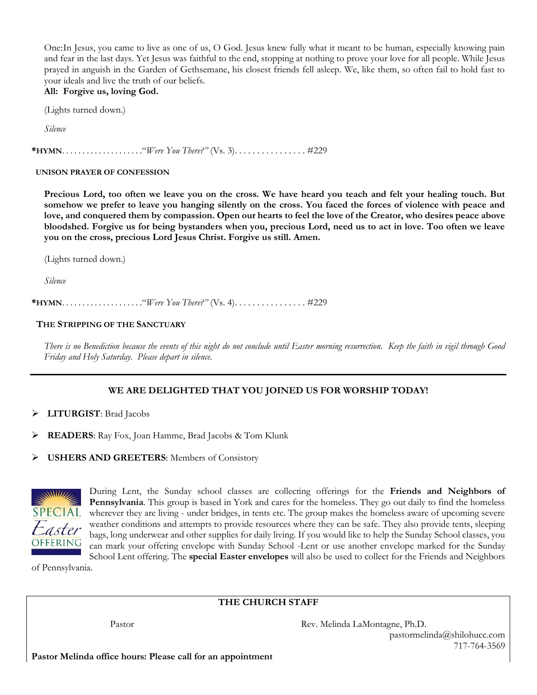One:In Jesus, you came to live as one of us, O God. Jesus knew fully what it meant to be human, especially knowing pain and fear in the last days. Yet Jesus was faithful to the end, stopping at nothing to prove your love for all people. While Jesus prayed in anguish in the Garden of Gethsemane, his closest friends fell asleep. We, like them, so often fail to hold fast to your ideals and live the truth of our beliefs. **All: Forgive us, loving God.**

(Lights turned down.)

*Silence*

**\*HYMN**. . . . . . . . . . . . . . . . . . . ."*Were You There?"* (Vs. 3). . . . . . . . . . . . . . . . #229

#### **UNISON PRAYER OF CONFESSION**

**Precious Lord, too often we leave you on the cross. We have heard you teach and felt your healing touch. But somehow we prefer to leave you hanging silently on the cross. You faced the forces of violence with peace and love, and conquered them by compassion. Open our hearts to feel the love of the Creator, who desires peace above bloodshed. Forgive us for being bystanders when you, precious Lord, need us to act in love. Too often we leave you on the cross, precious Lord Jesus Christ. Forgive us still. Amen.**

(Lights turned down.)

*Silence*

**\*HYMN**. . . . . . . . . . . . . . . . . . . ."*Were You There?"* (Vs. 4). . . . . . . . . . . . . . . . #229

#### **THE STRIPPING OF THE SANCTUARY**

*There is no Benediction because the events of this night do not conclude until Easter morning resurrection. Keep the faith in vigil through Good Friday and Holy Saturday. Please depart in silence.*

### **WE ARE DELIGHTED THAT YOU JOINED US FOR WORSHIP TODAY!**

- ➢ **LITURGIST**: Brad Jacobs
- ➢ **READERS**: Ray Fox, Joan Hamme, Brad Jacobs & Tom Klunk
- ➢ **USHERS AND GREETERS**: Members of Consistory



During Lent, the Sunday school classes are collecting offerings for the **Friends and Neighbors of Pennsylvania**. This group is based in York and cares for the homeless. They go out daily to find the homeless wherever they are living - under bridges, in tents etc. The group makes the homeless aware of upcoming severe weather conditions and attempts to provide resources where they can be safe. They also provide tents, sleeping bags, long underwear and other supplies for daily living. If you would like to help the Sunday School classes, you can mark your offering envelope with Sunday School -Lent or use another envelope marked for the Sunday School Lent offering. The **special Easter envelopes** will also be used to collect for the Friends and Neighbors

of Pennsylvania.

### **THE CHURCH STAFF**

Pastor Rev. Melinda LaMontagne, Ph.D. pastormelinda@shilohucc.com 717-764-3569

**Pastor Melinda office hours: Please call for an appointment**